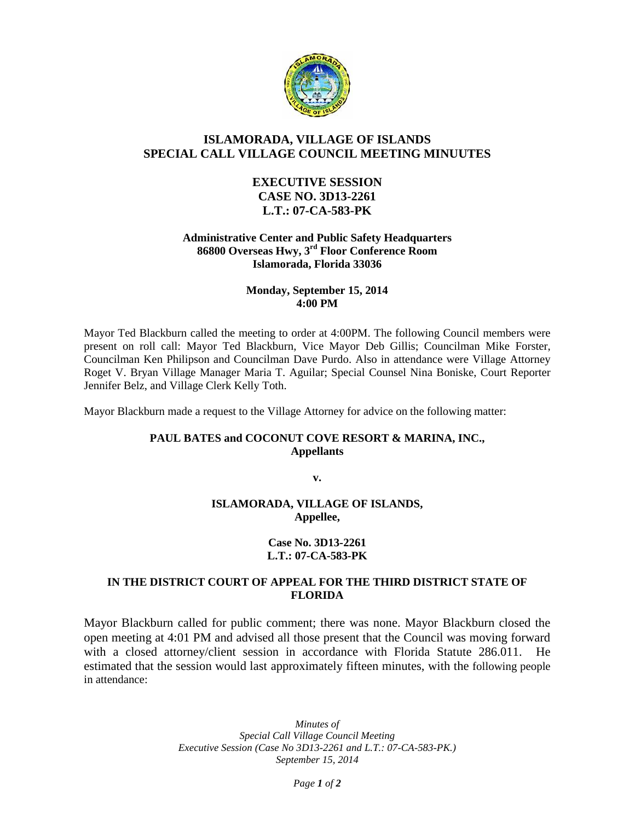

# **ISLAMORADA, VILLAGE OF ISLANDS SPECIAL CALL VILLAGE COUNCIL MEETING MINUUTES**

## **EXECUTIVE SESSION CASE NO. 3D13-2261 L.T.: 07-CA-583-PK**

#### **Administrative Center and Public Safety Headquarters 86800 Overseas Hwy, 3rd Floor Conference Room Islamorada, Florida 33036**

### **Monday, September 15, 2014 4:00 PM**

Mayor Ted Blackburn called the meeting to order at 4:00PM. The following Council members were present on roll call: Mayor Ted Blackburn, Vice Mayor Deb Gillis; Councilman Mike Forster, Councilman Ken Philipson and Councilman Dave Purdo. Also in attendance were Village Attorney Roget V. Bryan Village Manager Maria T. Aguilar; Special Counsel Nina Boniske, Court Reporter Jennifer Belz, and Village Clerk Kelly Toth.

Mayor Blackburn made a request to the Village Attorney for advice on the following matter:

## **PAUL BATES and COCONUT COVE RESORT & MARINA, INC., Appellants**

**v.**

#### **ISLAMORADA, VILLAGE OF ISLANDS, Appellee,**

#### **Case No. 3D13-2261 L.T.: 07-CA-583-PK**

## **IN THE DISTRICT COURT OF APPEAL FOR THE THIRD DISTRICT STATE OF FLORIDA**

Mayor Blackburn called for public comment; there was none. Mayor Blackburn closed the open meeting at 4:01 PM and advised all those present that the Council was moving forward with a closed attorney/client session in accordance with Florida Statute 286.011. He estimated that the session would last approximately fifteen minutes, with the following people in attendance:

> *Minutes of Special Call Village Council Meeting Executive Session (Case No 3D13-2261 and L.T.: 07-CA-583-PK.) September 15, 2014*